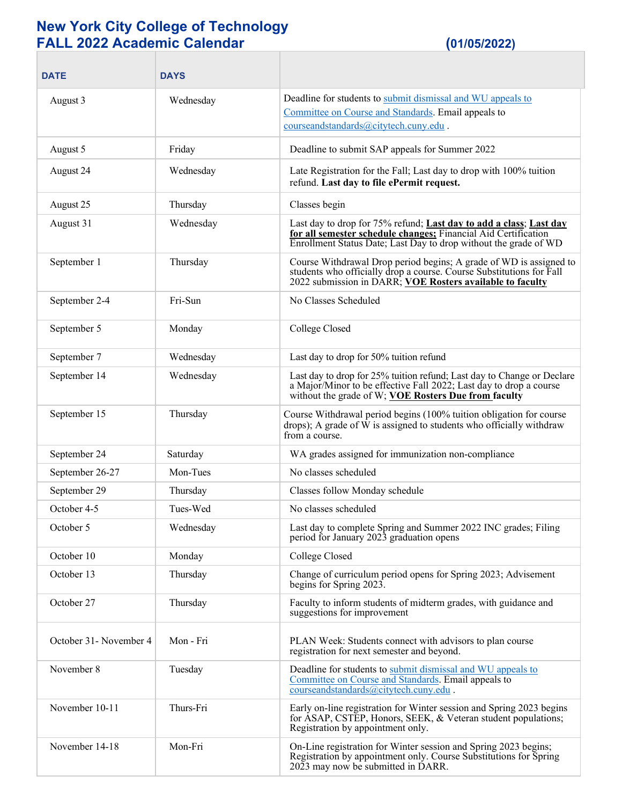## **New York City College of Technology FALL 2022 Academic Calendar (01/05/2022)**

| <b>DATE</b>             | <b>DAYS</b> |                                                                                                                                                                                                             |
|-------------------------|-------------|-------------------------------------------------------------------------------------------------------------------------------------------------------------------------------------------------------------|
| August 3                | Wednesday   | Deadline for students to submit dismissal and WU appeals to<br>Committee on Course and Standards. Email appeals to<br>courseandstandards@citytech.cuny.edu.                                                 |
| August 5                | Friday      | Deadline to submit SAP appeals for Summer 2022                                                                                                                                                              |
| August 24               | Wednesday   | Late Registration for the Fall; Last day to drop with 100% tuition<br>refund. Last day to file ePermit request.                                                                                             |
| August 25               | Thursday    | Classes begin                                                                                                                                                                                               |
| August 31               | Wednesday   | Last day to drop for 75% refund; Last day to add a class; Last day<br>for all semester schedule changes; Financial Aid Certification<br>Enrollment Status Date; Last Day to drop without the grade of WD    |
| September 1             | Thursday    | Course Withdrawal Drop period begins; A grade of WD is assigned to<br>students who officially drop a course. Course Substitutions for Fall<br>2022 submission in DARR; VOE Rosters available to faculty     |
| September 2-4           | Fri-Sun     | No Classes Scheduled                                                                                                                                                                                        |
| September 5             | Monday      | College Closed                                                                                                                                                                                              |
| September 7             | Wednesday   | Last day to drop for 50% tuition refund                                                                                                                                                                     |
| September 14            | Wednesday   | Last day to drop for 25% tuition refund; Last day to Change or Declare<br>a Major/Minor to be effective Fall 2022; Last day to drop a course<br>without the grade of W; <b>VOE Rosters Due from faculty</b> |
| September 15            | Thursday    | Course Withdrawal period begins (100% tuition obligation for course<br>drops); A grade of W is assigned to students who officially withdraw<br>from a course.                                               |
| September 24            | Saturday    | WA grades assigned for immunization non-compliance                                                                                                                                                          |
| September 26-27         | Mon-Tues    | No classes scheduled                                                                                                                                                                                        |
| September 29            | Thursday    | Classes follow Monday schedule                                                                                                                                                                              |
| October 4-5             | Tues-Wed    | No classes scheduled                                                                                                                                                                                        |
| October 5               | Wednesday   | Last day to complete Spring and Summer 2022 INC grades; Filing<br>period for January 2023 graduation opens                                                                                                  |
| October 10              | Monday      | College Closed                                                                                                                                                                                              |
| October 13              | Thursday    | Change of curriculum period opens for Spring 2023; Advisement<br>begins for Spring 2023.                                                                                                                    |
| October 27              | Thursday    | Faculty to inform students of midterm grades, with guidance and<br>suggestions for improvement                                                                                                              |
| October 31 - November 4 | Mon - Fri   | PLAN Week: Students connect with advisors to plan course<br>registration for next semester and beyond.                                                                                                      |
| November 8              | Tuesday     | Deadline for students to submit dismissal and WU appeals to<br>Committee on Course and Standards. Email appeals to<br>courseandstandards@citytech.cuny.edu                                                  |
| November 10-11          | Thurs-Fri   | Early on-line registration for Winter session and Spring 2023 begins<br>for ASAP, CSTEP, Honors, SEEK, & Veteran student populations;<br>Registration by appointment only.                                  |
| November 14-18          | Mon-Fri     | On-Line registration for Winter session and Spring 2023 begins;<br>Registration by appointment only. Course Substitutions for Spring<br>2023 may now be submitted in DARR.                                  |